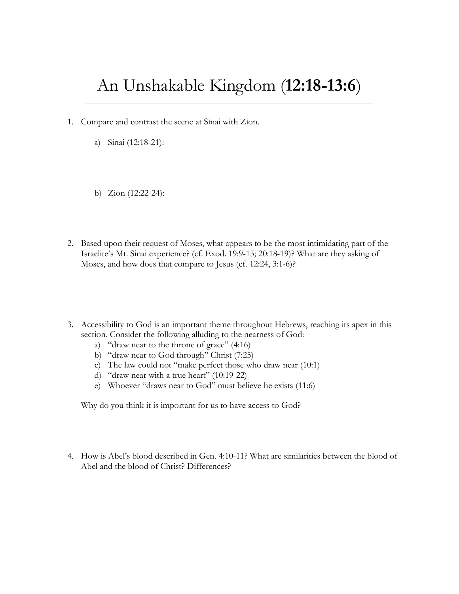## An Unshakable Kingdom (**12:18-13:6**)

- 1. Compare and contrast the scene at Sinai with Zion.
	- a) Sinai (12:18-21):
	- b) Zion (12:22-24):
- 2. Based upon their request of Moses, what appears to be the most intimidating part of the Israelite's Mt. Sinai experience? (cf. Exod. 19:9-15; 20:18-19)? What are they asking of Moses, and how does that compare to Jesus (cf. 12:24, 3:1-6)?
- 3. Accessibility to God is an important theme throughout Hebrews, reaching its apex in this section. Consider the following alluding to the nearness of God:
	- a) "draw near to the throne of grace" (4:16)
	- b) "draw near to God through" Christ (7:25)
	- c) The law could not "make perfect those who draw near (10:1)
	- d) "draw near with a true heart" (10:19-22)
	- e) Whoever "draws near to God" must believe he exists (11:6)

Why do you think it is important for us to have access to God?

4. How is Abel's blood described in Gen. 4:10-11? What are similarities between the blood of Abel and the blood of Christ? Differences?